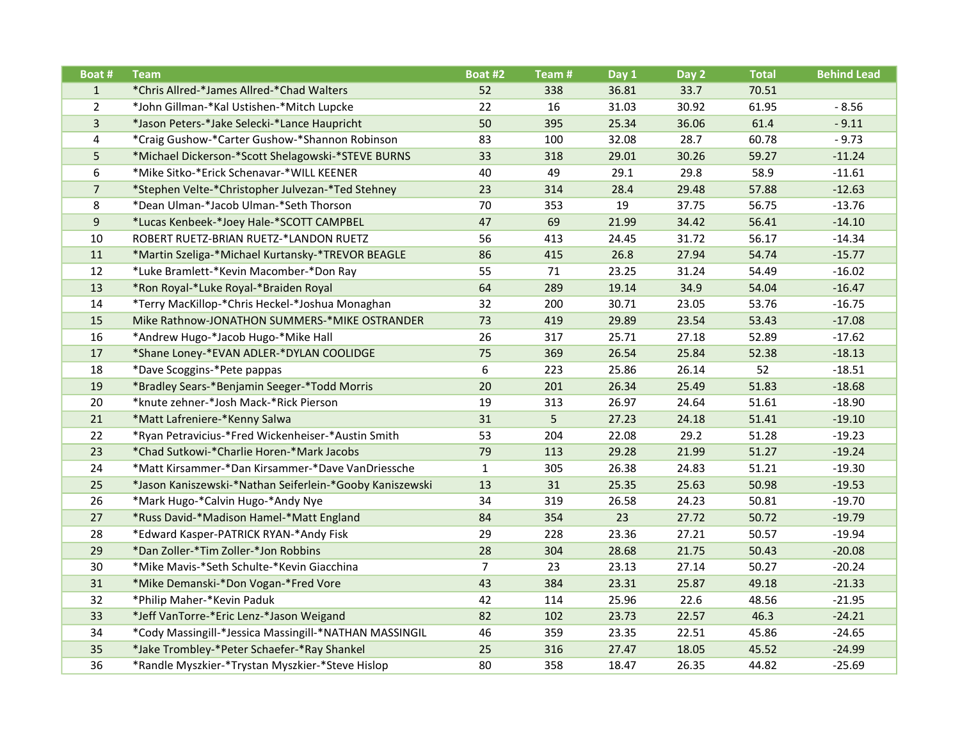| Boat #         | <b>Team</b>                                              | Boat #2        | Team # | Day 1 | Day 2 | <b>Total</b> | <b>Behind Lead</b> |
|----------------|----------------------------------------------------------|----------------|--------|-------|-------|--------------|--------------------|
| $\mathbf{1}$   | *Chris Allred-*James Allred-*Chad Walters                | 52             | 338    | 36.81 | 33.7  | 70.51        |                    |
| $\overline{2}$ | *John Gillman-*Kal Ustishen-*Mitch Lupcke                | 22             | 16     | 31.03 | 30.92 | 61.95        | $-8.56$            |
| $\overline{3}$ | *Jason Peters-*Jake Selecki-*Lance Haupricht             | 50             | 395    | 25.34 | 36.06 | 61.4         | $-9.11$            |
| 4              | *Craig Gushow-*Carter Gushow-*Shannon Robinson           | 83             | 100    | 32.08 | 28.7  | 60.78        | $-9.73$            |
| 5              | *Michael Dickerson-*Scott Shelagowski-*STEVE BURNS       | 33             | 318    | 29.01 | 30.26 | 59.27        | $-11.24$           |
| 6              | *Mike Sitko-*Erick Schenavar-*WILL KEENER                | 40             | 49     | 29.1  | 29.8  | 58.9         | $-11.61$           |
| $\overline{7}$ | *Stephen Velte-*Christopher Julvezan-*Ted Stehney        | 23             | 314    | 28.4  | 29.48 | 57.88        | $-12.63$           |
| 8              | *Dean Ulman-*Jacob Ulman-*Seth Thorson                   | 70             | 353    | 19    | 37.75 | 56.75        | $-13.76$           |
| $\overline{9}$ | *Lucas Kenbeek-*Joey Hale-*SCOTT CAMPBEL                 | 47             | 69     | 21.99 | 34.42 | 56.41        | $-14.10$           |
| 10             | ROBERT RUETZ-BRIAN RUETZ-*LANDON RUETZ                   | 56             | 413    | 24.45 | 31.72 | 56.17        | $-14.34$           |
| 11             | *Martin Szeliga-*Michael Kurtansky-*TREVOR BEAGLE        | 86             | 415    | 26.8  | 27.94 | 54.74        | $-15.77$           |
| 12             | *Luke Bramlett-*Kevin Macomber-*Don Ray                  | 55             | 71     | 23.25 | 31.24 | 54.49        | $-16.02$           |
| 13             | *Ron Royal-*Luke Royal-*Braiden Royal                    | 64             | 289    | 19.14 | 34.9  | 54.04        | $-16.47$           |
| 14             | *Terry MacKillop-*Chris Heckel-*Joshua Monaghan          | 32             | 200    | 30.71 | 23.05 | 53.76        | $-16.75$           |
| 15             | Mike Rathnow-JONATHON SUMMERS-*MIKE OSTRANDER            | 73             | 419    | 29.89 | 23.54 | 53.43        | $-17.08$           |
| 16             | *Andrew Hugo-*Jacob Hugo-*Mike Hall                      | 26             | 317    | 25.71 | 27.18 | 52.89        | $-17.62$           |
| 17             | *Shane Loney-*EVAN ADLER-*DYLAN COOLIDGE                 | 75             | 369    | 26.54 | 25.84 | 52.38        | $-18.13$           |
| 18             | *Dave Scoggins-*Pete pappas                              | 6              | 223    | 25.86 | 26.14 | 52           | $-18.51$           |
| 19             | *Bradley Sears-*Benjamin Seeger-*Todd Morris             | 20             | 201    | 26.34 | 25.49 | 51.83        | $-18.68$           |
| 20             | *knute zehner-*Josh Mack-*Rick Pierson                   | 19             | 313    | 26.97 | 24.64 | 51.61        | $-18.90$           |
| 21             | *Matt Lafreniere-*Kenny Salwa                            | 31             | 5      | 27.23 | 24.18 | 51.41        | $-19.10$           |
| 22             | *Ryan Petravicius-*Fred Wickenheiser-*Austin Smith       | 53             | 204    | 22.08 | 29.2  | 51.28        | $-19.23$           |
| 23             | *Chad Sutkowi-*Charlie Horen-*Mark Jacobs                | 79             | 113    | 29.28 | 21.99 | 51.27        | $-19.24$           |
| 24             | *Matt Kirsammer-*Dan Kirsammer-*Dave VanDriessche        | $\mathbf{1}$   | 305    | 26.38 | 24.83 | 51.21        | $-19.30$           |
| 25             | *Jason Kaniszewski-*Nathan Seiferlein-*Gooby Kaniszewski | 13             | 31     | 25.35 | 25.63 | 50.98        | $-19.53$           |
| 26             | *Mark Hugo-*Calvin Hugo-*Andy Nye                        | 34             | 319    | 26.58 | 24.23 | 50.81        | $-19.70$           |
| 27             | *Russ David-*Madison Hamel-*Matt England                 | 84             | 354    | 23    | 27.72 | 50.72        | $-19.79$           |
| 28             | *Edward Kasper-PATRICK RYAN-*Andy Fisk                   | 29             | 228    | 23.36 | 27.21 | 50.57        | $-19.94$           |
| 29             | *Dan Zoller-*Tim Zoller-*Jon Robbins                     | 28             | 304    | 28.68 | 21.75 | 50.43        | $-20.08$           |
| 30             | *Mike Mavis-*Seth Schulte-*Kevin Giacchina               | $\overline{7}$ | 23     | 23.13 | 27.14 | 50.27        | $-20.24$           |
| 31             | *Mike Demanski-*Don Vogan-*Fred Vore                     | 43             | 384    | 23.31 | 25.87 | 49.18        | $-21.33$           |
| 32             | *Philip Maher-*Kevin Paduk                               | 42             | 114    | 25.96 | 22.6  | 48.56        | $-21.95$           |
| 33             | *Jeff VanTorre-*Eric Lenz-*Jason Weigand                 | 82             | 102    | 23.73 | 22.57 | 46.3         | $-24.21$           |
| 34             | *Cody Massingill-*Jessica Massingill-*NATHAN MASSINGIL   | 46             | 359    | 23.35 | 22.51 | 45.86        | $-24.65$           |
| 35             | *Jake Trombley-*Peter Schaefer-*Ray Shankel              | 25             | 316    | 27.47 | 18.05 | 45.52        | $-24.99$           |
| 36             | *Randle Myszkier-*Trystan Myszkier-*Steve Hislop         | 80             | 358    | 18.47 | 26.35 | 44.82        | $-25.69$           |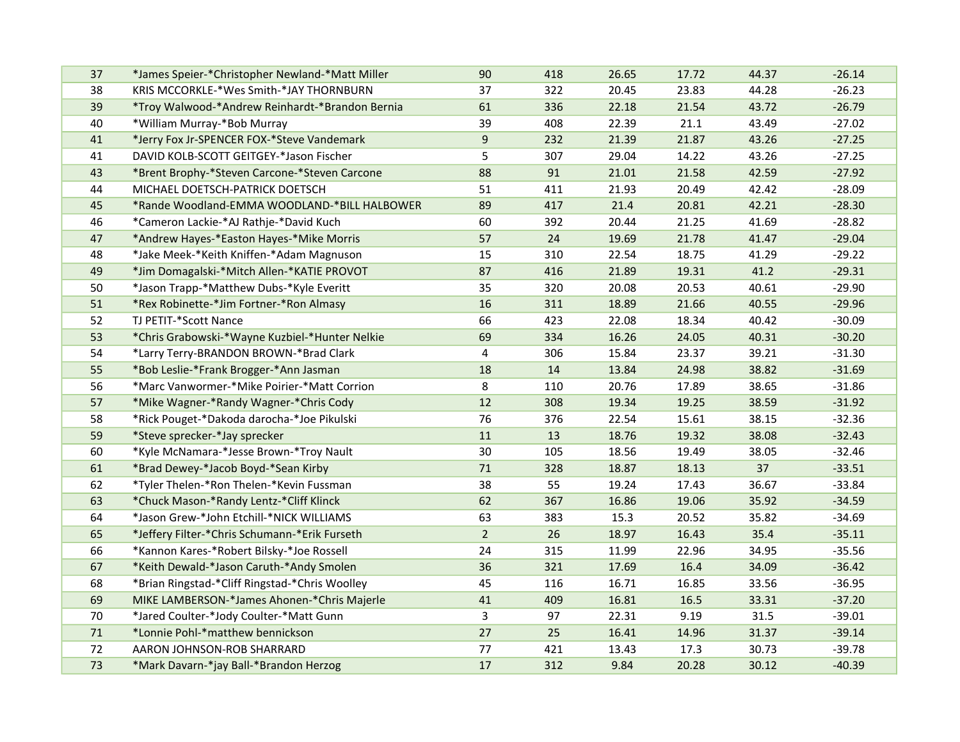| 37 | *James Speier-*Christopher Newland-*Matt Miller | 90             | 418 | 26.65 | 17.72 | 44.37 | $-26.14$ |
|----|-------------------------------------------------|----------------|-----|-------|-------|-------|----------|
| 38 | KRIS MCCORKLE-*Wes Smith-*JAY THORNBURN         | 37             | 322 | 20.45 | 23.83 | 44.28 | $-26.23$ |
| 39 | *Troy Walwood-*Andrew Reinhardt-*Brandon Bernia | 61             | 336 | 22.18 | 21.54 | 43.72 | $-26.79$ |
| 40 | *William Murray-*Bob Murray                     | 39             | 408 | 22.39 | 21.1  | 43.49 | $-27.02$ |
| 41 | *Jerry Fox Jr-SPENCER FOX-*Steve Vandemark      | 9              | 232 | 21.39 | 21.87 | 43.26 | $-27.25$ |
| 41 | DAVID KOLB-SCOTT GEITGEY-*Jason Fischer         | 5              | 307 | 29.04 | 14.22 | 43.26 | $-27.25$ |
| 43 | *Brent Brophy-*Steven Carcone-*Steven Carcone   | 88             | 91  | 21.01 | 21.58 | 42.59 | $-27.92$ |
| 44 | MICHAEL DOETSCH-PATRICK DOETSCH                 | 51             | 411 | 21.93 | 20.49 | 42.42 | $-28.09$ |
| 45 | *Rande Woodland-EMMA WOODLAND-*BILL HALBOWER    | 89             | 417 | 21.4  | 20.81 | 42.21 | $-28.30$ |
| 46 | *Cameron Lackie-*AJ Rathje-*David Kuch          | 60             | 392 | 20.44 | 21.25 | 41.69 | $-28.82$ |
| 47 | *Andrew Hayes-*Easton Hayes-*Mike Morris        | 57             | 24  | 19.69 | 21.78 | 41.47 | $-29.04$ |
| 48 | *Jake Meek-*Keith Kniffen-*Adam Magnuson        | 15             | 310 | 22.54 | 18.75 | 41.29 | $-29.22$ |
| 49 | *Jim Domagalski-*Mitch Allen-*KATIE PROVOT      | 87             | 416 | 21.89 | 19.31 | 41.2  | $-29.31$ |
| 50 | *Jason Trapp-*Matthew Dubs-*Kyle Everitt        | 35             | 320 | 20.08 | 20.53 | 40.61 | $-29.90$ |
| 51 | *Rex Robinette-*Jim Fortner-*Ron Almasy         | 16             | 311 | 18.89 | 21.66 | 40.55 | $-29.96$ |
| 52 | TJ PETIT-*Scott Nance                           | 66             | 423 | 22.08 | 18.34 | 40.42 | $-30.09$ |
| 53 | *Chris Grabowski-*Wayne Kuzbiel-*Hunter Nelkie  | 69             | 334 | 16.26 | 24.05 | 40.31 | $-30.20$ |
| 54 | *Larry Terry-BRANDON BROWN-*Brad Clark          | 4              | 306 | 15.84 | 23.37 | 39.21 | $-31.30$ |
| 55 | *Bob Leslie-*Frank Brogger-*Ann Jasman          | 18             | 14  | 13.84 | 24.98 | 38.82 | $-31.69$ |
| 56 | *Marc Vanwormer-*Mike Poirier-*Matt Corrion     | 8              | 110 | 20.76 | 17.89 | 38.65 | $-31.86$ |
| 57 | *Mike Wagner-*Randy Wagner-*Chris Cody          | 12             | 308 | 19.34 | 19.25 | 38.59 | $-31.92$ |
| 58 | *Rick Pouget-*Dakoda darocha-*Joe Pikulski      | 76             | 376 | 22.54 | 15.61 | 38.15 | $-32.36$ |
| 59 | *Steve sprecker-*Jay sprecker                   | 11             | 13  | 18.76 | 19.32 | 38.08 | $-32.43$ |
| 60 | *Kyle McNamara-*Jesse Brown-*Troy Nault         | 30             | 105 | 18.56 | 19.49 | 38.05 | $-32.46$ |
| 61 | *Brad Dewey-*Jacob Boyd-*Sean Kirby             | $71\,$         | 328 | 18.87 | 18.13 | 37    | $-33.51$ |
| 62 | *Tyler Thelen-*Ron Thelen-*Kevin Fussman        | 38             | 55  | 19.24 | 17.43 | 36.67 | $-33.84$ |
| 63 | *Chuck Mason-*Randy Lentz-*Cliff Klinck         | 62             | 367 | 16.86 | 19.06 | 35.92 | $-34.59$ |
| 64 | *Jason Grew-*John Etchill-*NICK WILLIAMS        | 63             | 383 | 15.3  | 20.52 | 35.82 | $-34.69$ |
| 65 | *Jeffery Filter-*Chris Schumann-*Erik Furseth   | $\overline{2}$ | 26  | 18.97 | 16.43 | 35.4  | $-35.11$ |
| 66 | *Kannon Kares-*Robert Bilsky-*Joe Rossell       | 24             | 315 | 11.99 | 22.96 | 34.95 | $-35.56$ |
| 67 | *Keith Dewald-*Jason Caruth-*Andy Smolen        | 36             | 321 | 17.69 | 16.4  | 34.09 | $-36.42$ |
| 68 | *Brian Ringstad-*Cliff Ringstad-*Chris Woolley  | 45             | 116 | 16.71 | 16.85 | 33.56 | $-36.95$ |
| 69 | MIKE LAMBERSON-*James Ahonen-*Chris Majerle     | 41             | 409 | 16.81 | 16.5  | 33.31 | $-37.20$ |
| 70 | *Jared Coulter-*Jody Coulter-*Matt Gunn         | 3              | 97  | 22.31 | 9.19  | 31.5  | $-39.01$ |
| 71 | *Lonnie Pohl-*matthew bennickson                | 27             | 25  | 16.41 | 14.96 | 31.37 | $-39.14$ |
| 72 | AARON JOHNSON-ROB SHARRARD                      | 77             | 421 | 13.43 | 17.3  | 30.73 | $-39.78$ |
| 73 | *Mark Davarn-*jay Ball-*Brandon Herzog          | 17             | 312 | 9.84  | 20.28 | 30.12 | $-40.39$ |